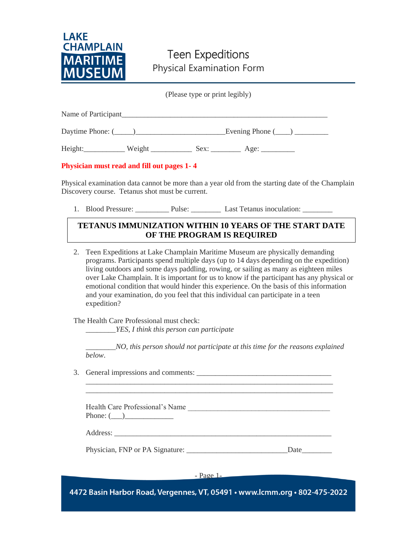

### Teen Expeditions Physical Examination Form

(Please type or print legibly)

| Name of Participant |                        |
|---------------------|------------------------|
| Daytime Phone: (    | Evening Phone $(\_\_)$ |

Height: Weight Weight Sex: 2008.

**Physician must read and fill out pages 1- 4**

Physical examination data cannot be more than a year old from the starting date of the Champlain Discovery course. Tetanus shot must be current.

1. Blood Pressure: Pulse: <u>Denote Last Tetanus inoculation:</u>

### **TETANUS IMMUNIZATION WITHIN 10 YEARS OF THE START DATE OF THE PROGRAM IS REQUIRED**

2. Teen Expeditions at Lake Champlain Maritime Museum are physically demanding programs. Participants spend multiple days (up to 14 days depending on the expedition) living outdoors and some days paddling, rowing, or sailing as many as eighteen miles over Lake Champlain. It is important for us to know if the participant has any physical or emotional condition that would hinder this experience. On the basis of this information and your examination, do you feel that this individual can participate in a teen expedition?

The Health Care Professional must check:

\_\_\_\_\_\_\_\_*YES, I think this person can participate*

\_\_\_\_\_\_\_\_*NO, this person should not participate at this time for the reasons explained below*.

3. General impressions and comments: \_\_\_\_\_\_\_\_\_\_\_\_\_\_\_\_\_\_\_\_\_\_\_\_\_\_\_\_\_\_\_\_\_\_\_\_

Health Care Professional's Name Phone: (\_\_\_)\_\_\_\_\_\_\_\_\_\_\_\_\_

\_\_\_\_\_\_\_\_\_\_\_\_\_\_\_\_\_\_\_\_\_\_\_\_\_\_\_\_\_\_\_\_\_\_\_\_\_\_\_\_\_\_\_\_\_\_\_\_\_\_\_\_\_\_\_\_\_\_\_\_\_\_\_\_\_\_ \_\_\_\_\_\_\_\_\_\_\_\_\_\_\_\_\_\_\_\_\_\_\_\_\_\_\_\_\_\_\_\_\_\_\_\_\_\_\_\_\_\_\_\_\_\_\_\_\_\_\_\_\_\_\_\_\_\_\_\_\_\_\_\_\_\_

Address: \_\_\_\_\_\_\_\_\_\_\_\_\_\_\_\_\_\_\_\_\_\_\_\_\_\_\_\_\_\_\_\_\_\_\_\_\_\_\_\_\_\_\_\_\_\_\_\_\_\_\_\_\_\_\_\_\_\_

Physician, FNP or PA Signature: Date

- Page 1-

4472 Basin Harbor Road, Vergennes, VT, 05491 · www.lcmm.org · 802-475-2022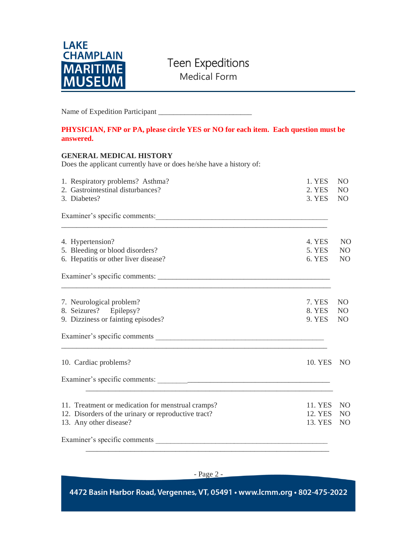

## Teen Expeditions

Medical Form

Name of Expedition Participant \_\_\_\_\_\_\_\_\_\_\_\_\_\_\_\_\_\_\_\_\_\_\_\_\_

#### **PHYSICIAN, FNP or PA, please circle YES or NO for each item. Each question must be answered.**

#### **GENERAL MEDICAL HISTORY**

Does the applicant currently have or does he/she have a history of:

| 1. Respiratory problems? Asthma?<br>2. Gastrointestinal disturbances?                                                                                                                                                         | 1. YES<br>2. YES        | N <sub>O</sub><br>N <sub>O</sub> |
|-------------------------------------------------------------------------------------------------------------------------------------------------------------------------------------------------------------------------------|-------------------------|----------------------------------|
| 3. Diabetes?                                                                                                                                                                                                                  | 3. YES                  | <b>NO</b>                        |
|                                                                                                                                                                                                                               |                         |                                  |
| 4. Hypertension?                                                                                                                                                                                                              | 4. YES                  | N <sub>O</sub>                   |
| 5. Bleeding or blood disorders?<br>6. Hepatitis or other liver disease?                                                                                                                                                       | 5. YES<br>6. YES        | NO.<br>N <sub>O</sub>            |
|                                                                                                                                                                                                                               |                         |                                  |
| 7. Neurological problem?                                                                                                                                                                                                      | 7. YES                  | N <sub>O</sub>                   |
| 8. Seizures? Epilepsy?<br>9. Dizziness or fainting episodes?                                                                                                                                                                  | 8. YES<br><b>9. YES</b> | N <sub>O</sub><br>N <sub>O</sub> |
| Examiner's specific comments example of the state of the state of the state of the state of the state of the state of the state of the state of the state of the state of the state of the state of the state of the state of |                         |                                  |
| 10. Cardiac problems?                                                                                                                                                                                                         | 10. YES                 | N <sub>O</sub>                   |
|                                                                                                                                                                                                                               |                         |                                  |
| 11. Treatment or medication for menstrual cramps?                                                                                                                                                                             | 11. YES                 | N <sub>O</sub>                   |
| 12. Disorders of the urinary or reproductive tract?<br>13. Any other disease?                                                                                                                                                 | 12. YES<br>13. YES      | N <sub>O</sub><br>N <sub>O</sub> |
|                                                                                                                                                                                                                               |                         |                                  |
|                                                                                                                                                                                                                               |                         |                                  |
|                                                                                                                                                                                                                               |                         |                                  |

4472 Basin Harbor Road, Vergennes, VT, 05491 · www.lcmm.org · 802-475-2022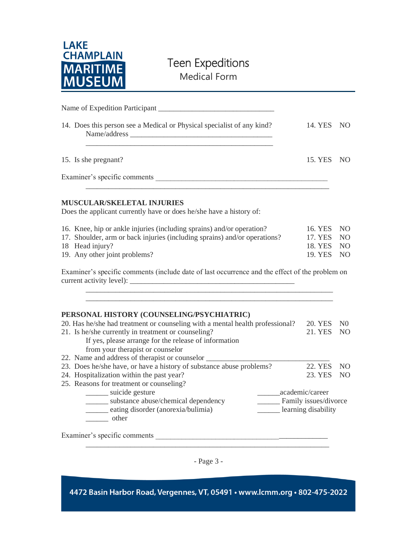

## Teen Expeditions

Medical Form

| 14. Does this person see a Medical or Physical specialist of any kind?                                                                                    | 14. YES NO     |                 |
|-----------------------------------------------------------------------------------------------------------------------------------------------------------|----------------|-----------------|
| 15. Is she pregnant?                                                                                                                                      | 15. YES        | NO <sub>1</sub> |
|                                                                                                                                                           |                |                 |
| <b>MUSCULAR/SKELETAL INJURIES</b><br>Does the applicant currently have or does he/she have a history of:                                                  |                |                 |
| 16. Knee, hip or ankle injuries (including sprains) and/or operation?                                                                                     | 16. YES        | NO.             |
| 17. Shoulder, arm or back injuries (including sprains) and/or operations?                                                                                 |                | NO              |
| 18 Head injury?                                                                                                                                           | 18. YES        | NO.             |
| 19. Any other joint problems?                                                                                                                             | 19. YES        | N <sub>O</sub>  |
| Examiner's specific comments (include date of last occurrence and the effect of the problem on                                                            |                |                 |
| PERSONAL HISTORY (COUNSELING/PSYCHIATRIC)                                                                                                                 |                |                 |
| 20. Has he/she had treatment or counseling with a mental health professional?                                                                             | 20. YES        | N <sub>0</sub>  |
| 21. Is he/she currently in treatment or counseling?<br>If yes, please arrange for the release of information<br>from your therapist or counselor          | 21. YES        | N <sub>O</sub>  |
| 22. Name and address of therapist or counselor __________________________________<br>23. Does he/she have, or have a history of substance abuse problems? | <b>22. YES</b> | N <sub>O</sub>  |
| 24. Hospitalization within the past year?                                                                                                                 | 23. YES        | N <sub>O</sub>  |
| 25. Reasons for treatment or counseling?                                                                                                                  |                |                 |
| _______ suicide gesture<br>_______academic/career                                                                                                         |                |                 |
| ______ substance abuse/chemical dependency<br>Family issues/divorce                                                                                       |                |                 |
| eating disorder (anorexia/bulimia)<br>learning disability<br>________ other                                                                               |                |                 |
|                                                                                                                                                           |                |                 |

- Page 3 -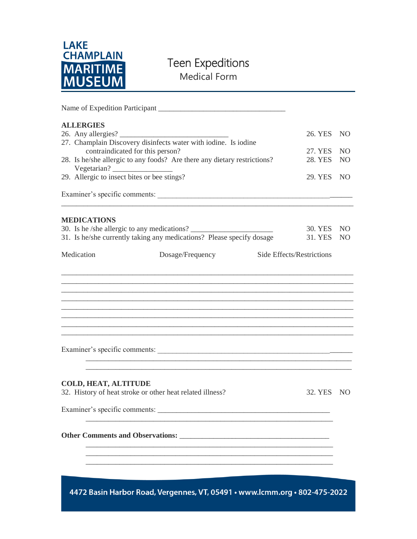

# Teen Expeditions

Medical Form

| <b>ALLERGIES</b>                                                                                    |                                                                                                                      | 26. YES NO                |                |
|-----------------------------------------------------------------------------------------------------|----------------------------------------------------------------------------------------------------------------------|---------------------------|----------------|
| 27. Champlain Discovery disinfects water with iodine. Is iodine<br>contraindicated for this person? | 27. YES NO                                                                                                           |                           |                |
| Vegetarian?                                                                                         | 28. Is he/she allergic to any foods? Are there any dietary restrictions?                                             | 28. YES                   | N <sub>O</sub> |
| 29. Allergic to insect bites or bee stings?                                                         | 29. YES NO                                                                                                           |                           |                |
|                                                                                                     |                                                                                                                      |                           |                |
| <b>MEDICATIONS</b>                                                                                  |                                                                                                                      |                           |                |
|                                                                                                     | 30. Is he /she allergic to any medications?<br>31. Is he/she currently taking any medications? Please specify dosage | 30. YES NO<br>31. YES     | N <sub>O</sub> |
| Medication                                                                                          | Dosage/Frequency                                                                                                     | Side Effects/Restrictions |                |
|                                                                                                     |                                                                                                                      |                           |                |
|                                                                                                     |                                                                                                                      |                           |                |
|                                                                                                     |                                                                                                                      |                           |                |
|                                                                                                     |                                                                                                                      |                           |                |
|                                                                                                     |                                                                                                                      |                           |                |
|                                                                                                     | Examiner's specific comments:                                                                                        |                           |                |
| <b>COLD, HEAT, ALTITUDE</b>                                                                         |                                                                                                                      |                           |                |
|                                                                                                     | 32. History of heat stroke or other heat related illness?                                                            | 32. YES NO                |                |
| Examiner's specific comments:                                                                       |                                                                                                                      |                           |                |
|                                                                                                     |                                                                                                                      |                           |                |
|                                                                                                     |                                                                                                                      |                           |                |
|                                                                                                     |                                                                                                                      |                           |                |
|                                                                                                     |                                                                                                                      |                           |                |
|                                                                                                     | 4472 Basin Harbor Road, Vergennes, VT, 05491 · www.lcmm.org · 802-475-2022                                           |                           |                |